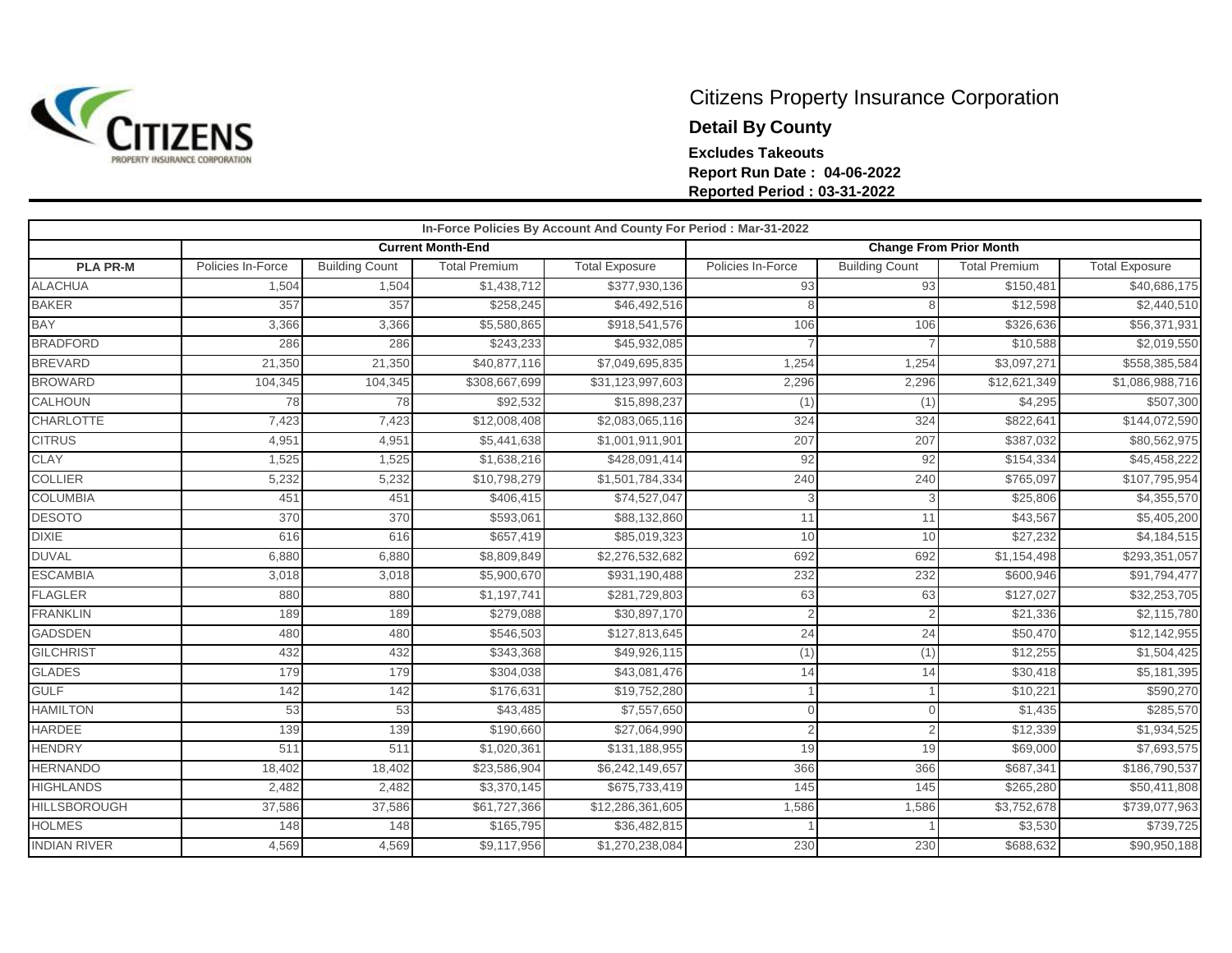

## Citizens Property Insurance Corporation **Detail By County Excludes Takeouts Report Run Date : 04-06-2022 Reported Period : 03-31-2022**

|                     |                   |                       |                          | In-Force Policies By Account And County For Period : Mar-31-2022 |                                |                       |                         |                       |
|---------------------|-------------------|-----------------------|--------------------------|------------------------------------------------------------------|--------------------------------|-----------------------|-------------------------|-----------------------|
|                     |                   |                       | <b>Current Month-End</b> |                                                                  | <b>Change From Prior Month</b> |                       |                         |                       |
| <b>PLA PR-M</b>     | Policies In-Force | <b>Building Count</b> | <b>Total Premium</b>     | <b>Total Exposure</b>                                            | Policies In-Force              | <b>Building Count</b> | <b>Total Premium</b>    | <b>Total Exposure</b> |
| <b>ALACHUA</b>      | 1,504             | 1,504                 | \$1,438,712              | \$377,930,136                                                    | 93                             | 93                    | \$150,481               | \$40,686,175          |
| <b>BAKER</b>        | 357               | 357                   | \$258,245                | \$46,492,516                                                     |                                |                       | \$12,598                | \$2,440,510           |
| <b>BAY</b>          | 3,366             | 3,366                 | \$5,580,865              | \$918,541,576                                                    | 106                            | 106                   | \$326,636               | \$56,371,931          |
| <b>BRADFORD</b>     | 286               | 286                   | \$243,233                | \$45,932,085                                                     |                                |                       | \$10,588                | \$2,019,550           |
| <b>BREVARD</b>      | 21,350            | 21,350                | \$40,877,116             | \$7,049,695,835                                                  | 1,254                          | 1,254                 | $\overline{$3,097,271}$ | \$558,385,584         |
| <b>BROWARD</b>      | 104,345           | 104,345               | \$308,667,699            | \$31,123,997,603                                                 | 2,296                          | 2,296                 | \$12,621,349            | \$1,086,988,716       |
| CALHOUN             | 78                | 78                    | \$92,532                 | \$15,898,237                                                     | (1)                            | (1)                   | \$4,295                 | \$507,300             |
| <b>CHARLOTTE</b>    | 7,423             | 7,423                 | \$12,008,408             | \$2,083,065,116                                                  | 324                            | 324                   | \$822,641               | \$144,072,590         |
| <b>CITRUS</b>       | 4,951             | 4,951                 | \$5,441,638              | \$1,001,911,901                                                  | 207                            | 207                   | \$387,032               | \$80,562,975          |
| CLAY                | 1,525             | 1,525                 | \$1,638,216              | \$428,091,414                                                    | 92                             | 92                    | \$154,334               | \$45,458,222          |
| <b>COLLIER</b>      | 5,232             | 5,232                 | \$10,798,279             | \$1,501,784,334                                                  | 240                            | 240                   | \$765,097               | \$107,795,954         |
| <b>COLUMBIA</b>     | 451               | 451                   | \$406,415                | \$74,527,047                                                     | 3                              | 3                     | \$25,806                | \$4,355,570           |
| <b>DESOTO</b>       | 370               | 370                   | \$593,061                | \$88,132,860                                                     | 11                             | 11                    | \$43,567                | \$5,405,200           |
| <b>DIXIE</b>        | 616               | 616                   | \$657,419                | \$85,019,323                                                     | 10                             | 10                    | \$27,232                | \$4,184,515           |
| <b>DUVAL</b>        | 6,880             | 6,880                 | \$8,809,849              | \$2,276,532,682                                                  | 692                            | 692                   | \$1,154,498             | \$293,351,057         |
| <b>ESCAMBIA</b>     | 3,018             | 3,018                 | \$5,900,670              | \$931,190,488                                                    | 232                            | 232                   | \$600,946               | \$91,794,477          |
| <b>FLAGLER</b>      | 880               | 880                   | \$1,197,741              | \$281,729,803                                                    | 63                             | 63                    | \$127,027               | \$32,253,705          |
| <b>FRANKLIN</b>     | 189               | 189                   | \$279,088                | \$30,897,170                                                     |                                |                       | \$21,336                | \$2,115,780           |
| <b>GADSDEN</b>      | 480               | 480                   | \$546,503                | \$127,813,645                                                    | 24                             | 24                    | \$50,470                | \$12,142,955          |
| <b>GILCHRIST</b>    | 432               | 432                   | \$343,368                | \$49,926,115                                                     | (1)                            | (1)                   | \$12,255                | \$1,504,425           |
| <b>GLADES</b>       | 179               | 179                   | \$304,038                | \$43,081,476                                                     | 14                             | 14                    | \$30,418                | \$5,181,395           |
| <b>GULF</b>         | 142               | 142                   | \$176,631                | \$19,752,280                                                     |                                |                       | \$10,221                | \$590,270             |
| <b>HAMILTON</b>     | 53                | 53                    | \$43,485                 | \$7,557,650                                                      | $\Omega$                       |                       | \$1,435                 | \$285,570             |
| <b>HARDEE</b>       | 139               | 139                   | \$190,660                | \$27,064,990                                                     |                                |                       | \$12,339                | \$1,934,525           |
| <b>HENDRY</b>       | 511               | 511                   | \$1,020,361              | \$131,188,955                                                    | 19                             | 19                    | \$69,000                | \$7,693,575           |
| <b>HERNANDO</b>     | 18,402            | 18,402                | \$23,586,904             | \$6,242,149,657                                                  | 366                            | 366                   | \$687,341               | \$186,790,537         |
| <b>HIGHLANDS</b>    | 2,482             | 2,482                 | \$3,370,145              | \$675,733,419                                                    | 145                            | 145                   | \$265,280               | \$50,411,808          |
| <b>HILLSBOROUGH</b> | 37,586            | 37,586                | \$61,727,366             | \$12,286,361,605                                                 | 1,586                          | 1,586                 | \$3,752,678             | \$739,077,963         |
| <b>HOLMES</b>       | 148               | 148                   | \$165,795                | \$36,482,815                                                     |                                |                       | \$3,530                 | \$739,725             |
| <b>INDIAN RIVER</b> | 4,569             | 4,569                 | \$9,117,956              | \$1,270,238,084                                                  | 230                            | 230                   | \$688,632               | \$90,950,188          |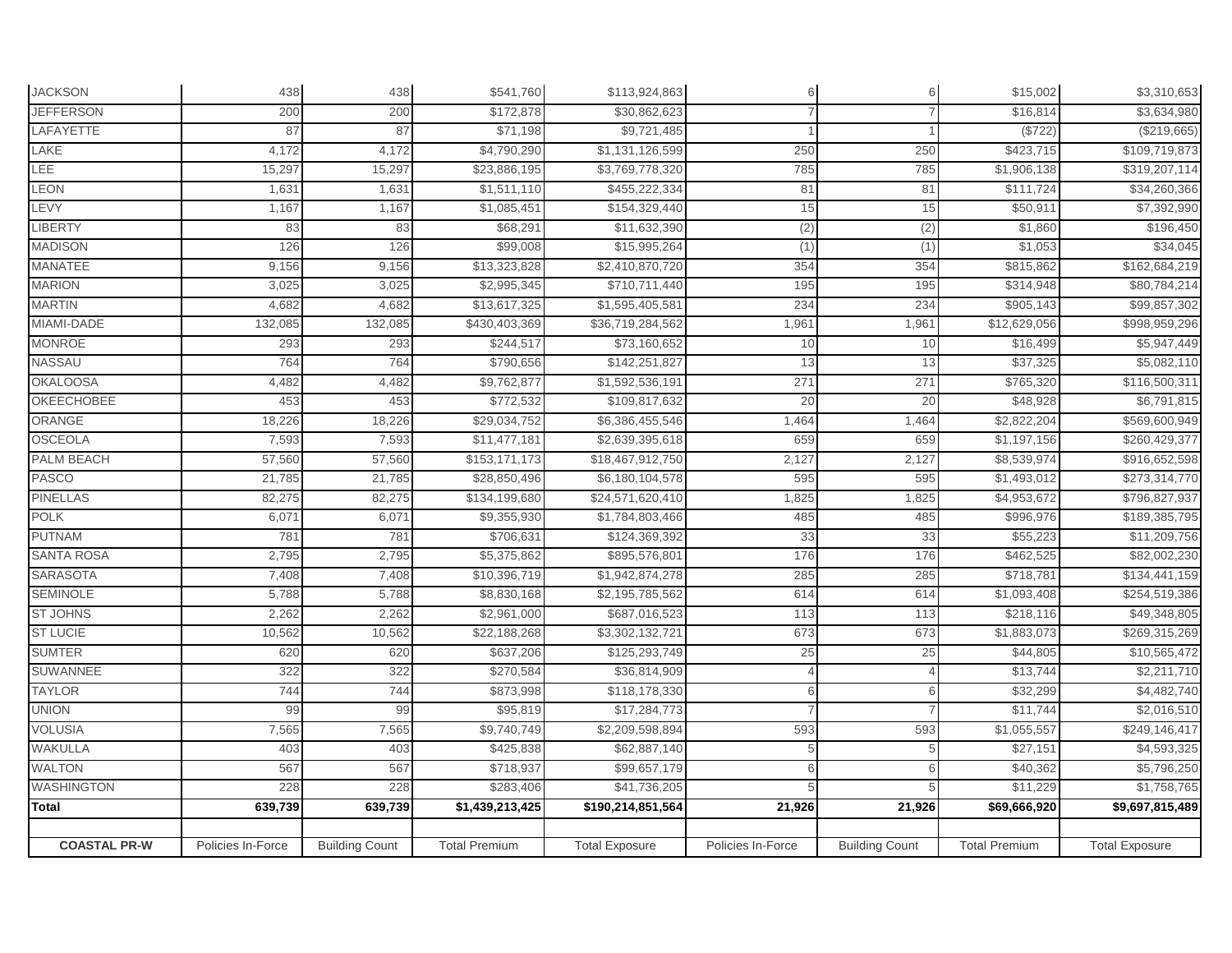| <b>JACKSON</b>      | 438               | 438                   | \$541,760            | \$113,924,863         |                   | 6                     | \$15,002             | \$3,310,653           |
|---------------------|-------------------|-----------------------|----------------------|-----------------------|-------------------|-----------------------|----------------------|-----------------------|
| <b>JEFFERSON</b>    | 200               | 200                   | \$172,878            | \$30,862,623          |                   |                       | \$16,814             | \$3,634,980           |
| LAFAYETTE           | 87                | 87                    | \$71,198             | \$9,721,485           |                   |                       | (\$722               | (\$219,665)           |
| LAKE                | 4,172             | 4,172                 | \$4,790,290          | \$1,131,126,599       | 250               | 250                   | \$423,715            | \$109,719,873         |
| LEE                 | 15,297            | 15,297                | \$23,886,195         | \$3,769,778,320       | 785               | 785                   | \$1,906,138          | \$319,207,114         |
| LEON                | 1,631             | 1,631                 | \$1,511,110          | \$455,222,334         | 81                | 81                    | \$111,724            | \$34,260,366          |
| LEVY                | 1,167             | 1,167                 | \$1,085,451          | \$154,329,440         | 15                | 15                    | \$50,911             | \$7,392,990           |
| <b>LIBERTY</b>      | 83                | 83                    | \$68,291             | \$11,632,390          | (2)               | (2)                   | \$1,860              | \$196,450             |
| <b>MADISON</b>      | 126               | 126                   | \$99,008             | \$15,995,264          | (1)               | (1)                   | \$1,053              | \$34,045              |
| <b>MANATEE</b>      | 9,156             | 9,156                 | \$13,323,828         | \$2,410,870,720       | 354               | 354                   | \$815,862            | \$162,684,219         |
| <b>MARION</b>       | 3,025             | 3,025                 | \$2,995,345          | \$710,711,440         | 195               | 195                   | \$314,948            | \$80,784,214          |
| <b>MARTIN</b>       | 4,682             | 4,682                 | \$13,617,325         | \$1,595,405,581       | 234               | 234                   | \$905,143            | \$99,857,302          |
| MIAMI-DADE          | 132,085           | 132,085               | \$430,403,369        | \$36,719,284,562      | 1,961             | 1,961                 | \$12,629,056         | \$998,959,296         |
| MONROE              | 293               | 293                   | \$244,517            | \$73,160,652          | 10                | 10                    | \$16,499             | \$5,947,449           |
| NASSAU              | 764               | 764                   | \$790,656            | \$142,251,827         | 13                | 13                    | \$37,325             | \$5,082,110           |
| <b>OKALOOSA</b>     | 4,482             | 4,482                 | \$9,762,877          | \$1,592,536,191       | 271               | 271                   | \$765,320            | \$116,500,311         |
| <b>OKEECHOBEE</b>   | 453               | 453                   | \$772,532            | \$109,817,632         | 20                | 20                    | \$48,928             | \$6,791,815           |
| ORANGE              | 18,226            | 18,226                | \$29,034,752         | \$6,386,455,546       | 1,464             | 1,464                 | \$2,822,204          | \$569,600,949         |
| <b>OSCEOLA</b>      | 7,593             | 7,593                 | \$11,477,181         | \$2,639,395,618       | 659               | 659                   | \$1,197,156          | \$260,429,377         |
| PALM BEACH          | 57,560            | 57,560                | \$153,171,173        | \$18,467,912,750      | 2,127             | 2,127                 | \$8,539,974          | \$916,652,598         |
| PASCO               | 21,785            | 21,785                | \$28,850,496         | \$6,180,104,578       | 595               | 595                   | \$1,493,012          | \$273,314,770         |
| <b>PINELLAS</b>     | 82,275            | 82,275                | \$134,199,680        | \$24,571,620,410      | 1,825             | 1,825                 | \$4,953,672          | \$796,827,937         |
| <b>POLK</b>         | 6,071             | 6,071                 | \$9,355,930          | \$1,784,803,466       | 485               | 485                   | \$996,976            | \$189,385,795         |
| <b>PUTNAM</b>       | 781               | 781                   | \$706,631            | \$124,369,392         | 33                | 33                    | \$55,223             | \$11,209,756          |
| <b>SANTA ROSA</b>   | 2,795             | 2,795                 | \$5,375,862          | \$895,576,801         | 176               | 176                   | \$462,525            | \$82,002,230          |
| <b>SARASOTA</b>     | 7,408             | 7,408                 | \$10,396,719         | \$1,942,874,278       | 285               | 285                   | \$718,781            | \$134,441,159         |
| <b>SEMINOLE</b>     | 5,788             | 5,788                 | \$8,830,168          | \$2,195,785,562       | 614               | 614                   | \$1,093,408          | \$254,519,386         |
| <b>ST JOHNS</b>     | 2,262             | 2,262                 | \$2,961,000          | \$687,016,523         | 113               | 113                   | \$218,116            | \$49,348,805          |
| <b>ST LUCIE</b>     | 10,562            | 10,562                | \$22,188,268         | \$3,302,132,721       | 673               | 673                   | \$1,883,073          | \$269,315,269         |
| <b>SUMTER</b>       | 620               | 620                   | \$637,206            | \$125,293,749         | 25                | 25                    | \$44,805             | \$10,565,472          |
| <b>SUWANNEE</b>     | 322               | 322                   | \$270,584            | \$36,814,909          |                   |                       | \$13,744             | \$2,211,710           |
| <b>TAYLOR</b>       | 744               | 744                   | \$873,998            | \$118,178,330         |                   |                       | \$32,299             | \$4,482,740           |
| <b>UNION</b>        | 99                | 99                    | \$95,819             | \$17,284,773          |                   |                       | \$11,744             | \$2,016,510           |
| <b>VOLUSIA</b>      | 7,565             | 7,565                 | \$9,740,749          | \$2,209,598,894       | 593               | 593                   | \$1,055,557          | \$249,146,417         |
| <b>WAKULLA</b>      | 403               | 403                   | \$425,838            | \$62,887,140          |                   | 5                     | \$27,151             | \$4,593,325           |
| <b>WALTON</b>       | 567               | 567                   | \$718,937            | \$99,657,179          |                   |                       | \$40,362             | \$5,796,250           |
| WASHINGTON          | 228               | 228                   | \$283,406            | \$41,736,205          |                   |                       | \$11,229             | \$1,758,765           |
| Total               | 639,739           | 639,739               | \$1,439,213,425      | \$190,214,851,564     | 21,926            | 21,926                | \$69,666,920         | \$9,697,815,489       |
|                     |                   |                       |                      |                       |                   |                       |                      |                       |
| <b>COASTAL PR-W</b> | Policies In-Force | <b>Building Count</b> | <b>Total Premium</b> | <b>Total Exposure</b> | Policies In-Force | <b>Building Count</b> | <b>Total Premium</b> | <b>Total Exposure</b> |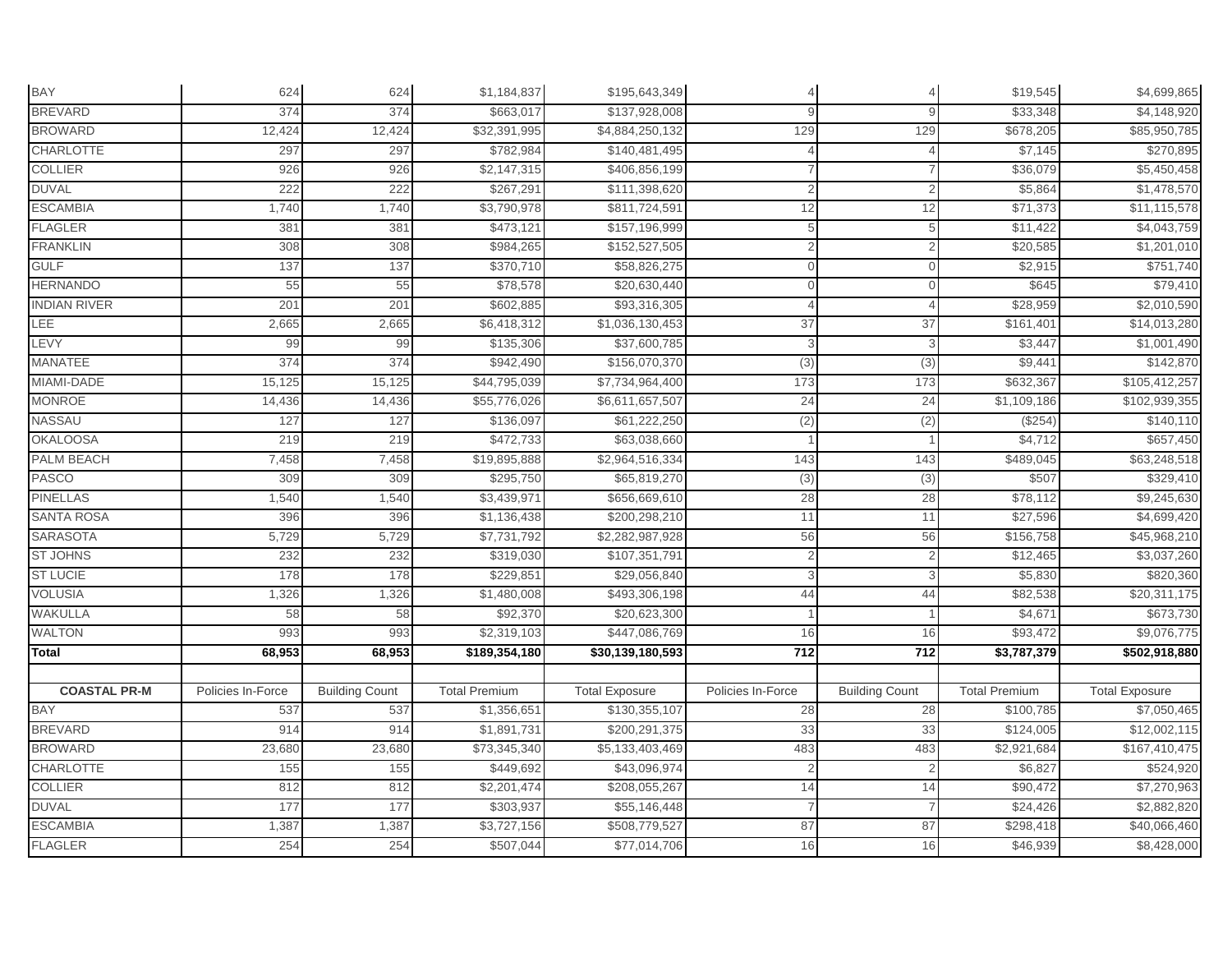| BAY                 | 624               | 624                   | \$1,184,837          | \$195,643,349         |                   |                       | \$19,545             | \$4,699,865           |
|---------------------|-------------------|-----------------------|----------------------|-----------------------|-------------------|-----------------------|----------------------|-----------------------|
| <b>BREVARD</b>      | 374               | 374                   | \$663,017            | \$137,928,008         |                   |                       | \$33,348             | \$4,148,920           |
| <b>BROWARD</b>      | 12,424            | 12,424                | \$32,391,995         | \$4,884,250,132       | 129               | 129                   | \$678,205            | \$85,950,785          |
| <b>CHARLOTTE</b>    | 297               | 297                   | \$782,984            | \$140,481,495         |                   | $\Delta$              | \$7,145              | \$270,895             |
| <b>COLLIER</b>      | 926               | 926                   | \$2,147,315          | \$406,856,199         |                   |                       | \$36,079             | \$5,450,458           |
| <b>DUVAL</b>        | 222               | 222                   | \$267,291            | \$111,398,620         |                   |                       | \$5,864              | \$1,478,570           |
| <b>ESCAMBIA</b>     | 1,740             | 1,740                 | \$3,790,978          | \$811,724,591         | 12                | 12                    | \$71,373             | \$11,115,578          |
| <b>FLAGLER</b>      | 381               | 381                   | \$473,121            | \$157,196,999         | $\overline{5}$    | 5                     | \$11,422             | \$4,043,759           |
| <b>FRANKLIN</b>     | 308               | 308                   | \$984,265            | \$152,527,505         |                   | $\overline{2}$        | \$20,585             | \$1,201,010           |
| <b>GULF</b>         | 137               | 137                   | \$370,710            | \$58,826,275          |                   | $\Omega$              | \$2,915              | \$751,740             |
| <b>HERNANDO</b>     | 55                | 55                    | \$78,578             | \$20,630,440          |                   |                       | \$645                | \$79,410              |
| <b>INDIAN RIVER</b> | 201               | 201                   | \$602,885            | \$93,316,305          |                   | $\Delta$              | \$28,959             | \$2,010,590           |
| LEE                 | 2,665             | 2,665                 | \$6,418,312          | \$1,036,130,453       | 37                | 37                    | \$161,40'            | \$14,013,280          |
| LEVY                | 99                | 99                    | \$135,306            | \$37,600,785          |                   | 3                     | \$3,447              | \$1,001,490           |
| <b>MANATEE</b>      | 374               | 374                   | \$942,490            | \$156,070,370         | (3)               | (3)                   | \$9,441              | \$142,870             |
| MIAMI-DADE          | 15,125            | 15,125                | \$44,795,039         | \$7,734,964,400       | 173               | 173                   | \$632,367            | \$105,412,257         |
| <b>MONROE</b>       | 14,436            | 14,436                | \$55,776,026         | \$6,611,657,507       | 24                | 24                    | \$1,109,186          | \$102,939,355         |
| NASSAU              | 127               | 127                   | \$136,097            | \$61,222,250          | (2)               | (2)                   | (\$254)              | \$140,110             |
| <b>OKALOOSA</b>     | 219               | 219                   | \$472,733            | \$63,038,660          |                   |                       | \$4,712              | \$657,450             |
| <b>PALM BEACH</b>   | 7,458             | 7,458                 | \$19,895,888         | \$2,964,516,334       | 143               | 143                   | \$489,045            | \$63,248,518          |
| PASCO               | 309               | 309                   | \$295,750            | \$65,819,270          | (3)               | (3)                   | \$507                | \$329,410             |
| <b>PINELLAS</b>     | 1,540             | 1,540                 | \$3,439,971          | \$656,669,610         | 28                | 28                    | \$78,112             | \$9,245,630           |
| <b>SANTA ROSA</b>   | 396               | 396                   | \$1,136,438          | \$200,298,210         | 11                | 11                    | \$27,596             | \$4,699,420           |
| <b>SARASOTA</b>     | 5,729             | 5,729                 | \$7,731,792          | \$2,282,987,928       | 56                | 56                    | \$156,758            | \$45,968,210          |
| <b>ST JOHNS</b>     | 232               | 232                   | \$319,030            | \$107,351,791         |                   |                       | \$12,465             | \$3,037,260           |
| <b>ST LUCIE</b>     | 178               | 178                   | \$229,851            | \$29,056,840          |                   |                       | \$5,830              | \$820,360             |
| <b>VOLUSIA</b>      | 1,326             | 1,326                 | \$1,480,008          | \$493,306,198         | 44                | 44                    | \$82,538             | \$20,311,175          |
| <b>WAKULLA</b>      | 58                | 58                    | \$92,370             | \$20,623,300          |                   |                       | \$4,671              | \$673,730             |
| <b>WALTON</b>       | 993               | 993                   | \$2,319,103          | \$447,086,769         | 16                | 16                    | \$93,472             | \$9,076,775           |
| Total               | 68,953            | 68,953                | \$189,354,180        | \$30,139,180,593      | $712$             | 712                   | \$3,787,379          | \$502,918,880         |
|                     |                   |                       |                      |                       |                   |                       |                      |                       |
| <b>COASTAL PR-M</b> | Policies In-Force | <b>Building Count</b> | <b>Total Premium</b> | <b>Total Exposure</b> | Policies In-Force | <b>Building Count</b> | <b>Total Premium</b> | <b>Total Exposure</b> |
| BAY                 | 537               | 537                   | \$1,356,651          | \$130,355,107         | 28                | 28                    | \$100,785            | \$7,050,465           |
| <b>BREVARD</b>      | 914               | 914                   | \$1,891,731          | \$200,291,375         | 33                | 33                    | \$124,005            | \$12,002,115          |
| <b>BROWARD</b>      | 23,680            | 23,680                | \$73,345,340         | \$5,133,403,469       | 483               | 483                   | \$2,921,684          | \$167,410,475         |
| <b>CHARLOTTE</b>    | 155               | 155                   | \$449,692            | \$43,096,974          |                   | $\overline{2}$        | \$6,827              | \$524,920             |
| <b>COLLIER</b>      | 812               | 812                   | \$2,201,474          | \$208,055,267         | 14                | 14                    | \$90,472             | \$7,270,963           |
| <b>DUVAL</b>        | 177               | 177                   | \$303,937            | \$55,146,448          |                   |                       | \$24,426             | \$2,882,820           |
| <b>ESCAMBIA</b>     | 1,387             | 1,387                 | \$3,727,156          | \$508,779,527         | 87                | 87                    | \$298,418            | \$40,066,460          |
| <b>FLAGLER</b>      | 254               | 254                   | \$507,044            | \$77,014,706          | 16                | 16                    | \$46,939             | \$8,428,000           |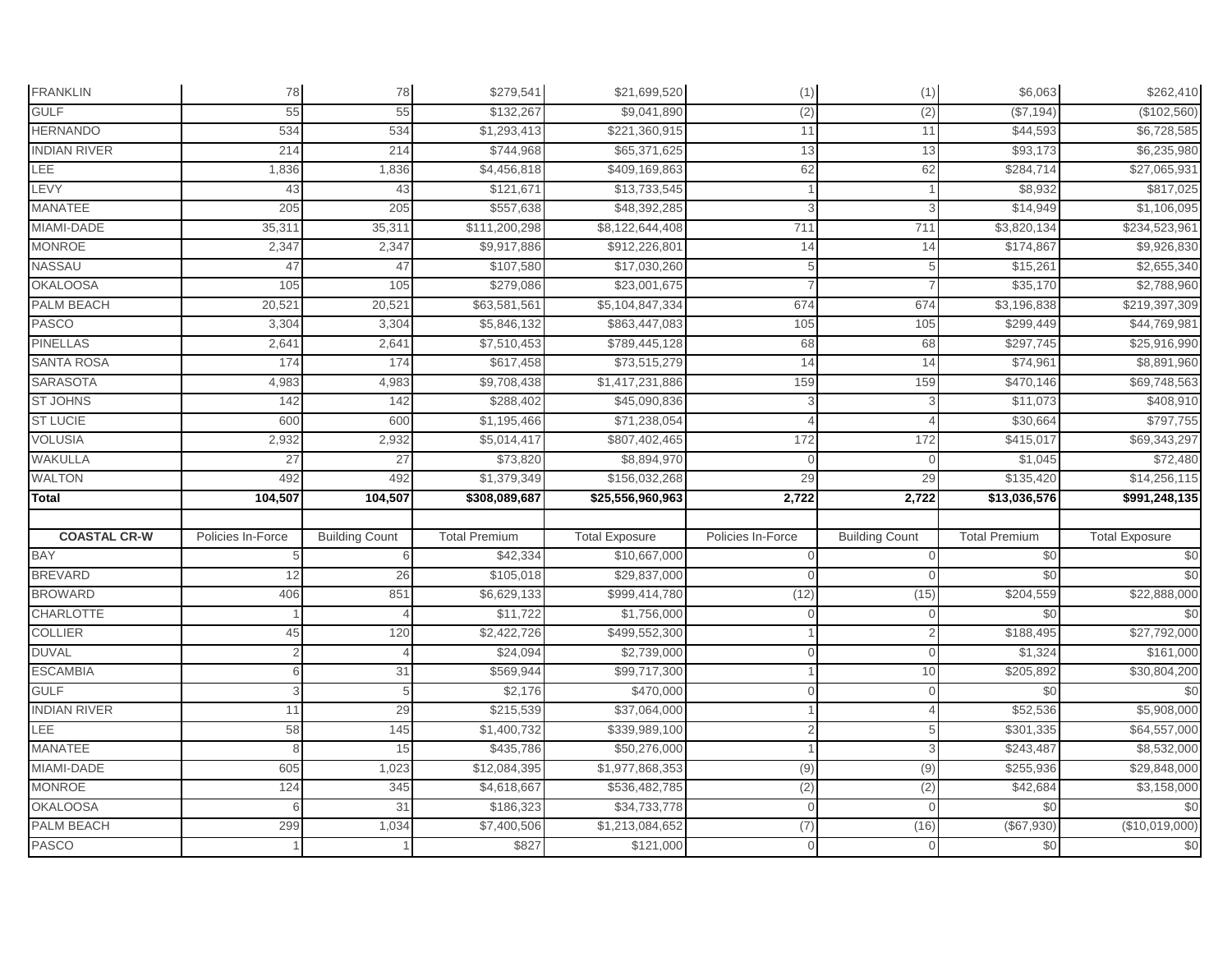| <b>FRANKLIN</b>            | 78                | 78                    | \$279,541            | \$21,699,520                 | (1)               | (1)                   | \$6,063              | \$262,410                              |
|----------------------------|-------------------|-----------------------|----------------------|------------------------------|-------------------|-----------------------|----------------------|----------------------------------------|
| <b>GULF</b>                | 55                | 55                    | \$132,267            | \$9,041,890                  | (2)               | (2)                   | (\$7,194)            | (\$102,560)                            |
| <b>HERNANDO</b>            | 534               | 534                   | \$1,293,413          | \$221,360,915                | 11                | 11                    | \$44,593             | \$6,728,585                            |
| <b>INDIAN RIVER</b>        | 214               | 214                   | \$744,968            | \$65,371,625                 | 13                | 13                    | \$93,173             | \$6,235,980                            |
| LEE                        | 1,836             | 1,836                 | \$4,456,818          | \$409,169,863                | 62                | 62                    | \$284,714            | \$27,065,931                           |
| LEVY                       | 43                | 43                    | \$121,671            | \$13,733,545                 |                   |                       | \$8,932              | \$817,025                              |
| MANATEE                    | 205               | 205                   | \$557,638            | \$48,392,285                 |                   | 3                     | \$14,949             | \$1,106,095                            |
| MIAMI-DADE                 | 35,311            | 35,31'                | \$111,200,298        | \$8,122,644,408              | 711               | 711                   | \$3,820,134          | \$234,523,961                          |
| <b>MONROE</b>              | 2,347             | 2,347                 | \$9,917,886          | \$912,226,801                | 14                | 14                    | \$174,867            | \$9,926,830                            |
| NASSAU                     | 47                | 47                    | \$107,580            | \$17,030,260                 |                   |                       | \$15,261             | \$2,655,340                            |
| <b>OKALOOSA</b>            | 105               | 105                   | \$279,086            | \$23,001,675                 |                   |                       | \$35,170             | \$2,788,960                            |
| PALM BEACH                 | 20,521            | 20,52                 | \$63,581,561         | \$5,104,847,334              | 674               | 674                   | \$3,196,838          | \$219,397,309                          |
| <b>PASCO</b>               | 3,304             | 3,304                 | \$5,846,132          | \$863,447,083                | 105               | 105                   | \$299,449            | \$44,769,981                           |
| <b>PINELLAS</b>            | 2,641             | 2,641                 | \$7,510,453          | \$789,445,128                | 68                | 68                    | \$297,745            | \$25,916,990                           |
| <b>SANTA ROSA</b>          | 174               | 174                   | \$617,458            | \$73,515,279                 | 14                | 14                    | \$74,961             | \$8,891,960                            |
| <b>SARASOTA</b>            | 4,983             | 4,983                 | \$9,708,438          | \$1,417,231,886              | 159               | 159                   | \$470,146            | \$69,748,563                           |
| <b>ST JOHNS</b>            | 142               | 142                   | \$288,402            | \$45,090,836                 |                   | 3                     | \$11,073             | \$408,910                              |
| <b>ST LUCIE</b>            | 600               | 600                   | \$1,195,466          | \$71,238,054                 |                   |                       | \$30,664             | \$797,755                              |
| <b>VOLUSIA</b>             | 2,932             | 2,932                 | \$5,014,417          | \$807,402,465                | 172               | 172                   | \$415,017            | \$69,343,297                           |
| WAKULLA                    | 27                | 27                    | \$73,820             | \$8,894,970                  | $\cap$            | $\Omega$              | \$1,045              | \$72,480                               |
| <b>WALTON</b>              | 492               | 492                   | \$1,379,349          | \$156,032,268                | 29                | 29                    | \$135,420            | \$14,256,115                           |
| Total                      | 104,507           | 104,507               | \$308,089,687        | \$25,556,960,963             | 2,722             | 2,722                 | \$13,036,576         | \$991,248,135                          |
|                            |                   |                       |                      |                              |                   |                       |                      |                                        |
|                            |                   |                       |                      |                              |                   |                       |                      |                                        |
| <b>COASTAL CR-W</b>        | Policies In-Force | <b>Building Count</b> | <b>Total Premium</b> | <b>Total Exposure</b>        | Policies In-Force | <b>Building Count</b> | <b>Total Premium</b> | <b>Total Exposure</b>                  |
| BAY                        |                   |                       | \$42,334             | \$10,667,000                 |                   | $\Omega$              | \$0                  | $\frac{6}{3}$                          |
| <b>BREVARD</b>             | 12                | 26                    | \$105,018            | \$29,837,000                 |                   | $\Omega$              | \$0                  |                                        |
| <b>BROWARD</b>             | 406               | 851                   | \$6,629,133          | \$999,414,780                | (12)              | (15)                  | \$204,559            | \$22,888,000                           |
| <b>CHARLOTTE</b>           |                   |                       | \$11,722             | \$1,756,000                  |                   |                       | \$0                  | \$0<br>\$0                             |
| <b>COLLIER</b>             | 45                | 120                   | \$2,422,726          | \$499,552,300                |                   |                       | \$188,495            | \$27,792,000                           |
| <b>DUVAL</b>               | $\overline{2}$    |                       | \$24,094             | \$2,739,000                  |                   | $\mathbf 0$           | \$1,324              | \$161,000                              |
| <b>ESCAMBIA</b>            | 6                 | 31                    | \$569,944            | \$99,717,300                 |                   | 10                    | \$205,892            | \$30,804,200                           |
| <b>GULF</b>                |                   | 5                     | \$2,176              | \$470,000                    |                   | $\Omega$              | \$0                  | \$0                                    |
| <b>INDIAN RIVER</b>        | 11                | 29                    | \$215,539            | \$37,064,000                 |                   | $\Delta$              | \$52,536             | \$5,908,000                            |
| LEE                        | 58                | 145                   | \$1,400,732          | \$339,989,100                |                   | 5                     | \$301,335            | \$64,557,000                           |
| <b>MANATEE</b>             | 8                 | 15                    | \$435,786            | \$50,276,000                 |                   | 3                     | \$243,487            | \$8,532,000                            |
| MIAMI-DADE                 | 605               | 1,023                 | \$12,084,395         | \$1,977,868,353              | (9)               | (9)                   | \$255,936            | \$29,848,000                           |
| <b>MONROE</b>              | 124               | 345                   | \$4,618,667          | \$536,482,785                | (2)               | (2)                   | \$42,684             | \$3,158,000                            |
| <b>OKALOOSA</b>            | 6                 | 31                    | \$186,323            | \$34,733,778                 | $\cap$            | $\Omega$              | \$0                  |                                        |
| PALM BEACH<br><b>PASCO</b> | 299               | 1,034                 | \$7,400,506<br>\$827 | \$1,213,084,652<br>\$121,000 | (7)               | (16)                  | (\$67,930)<br>\$0    | $\frac{6}{3}$<br>(\$10,019,000)<br>\$0 |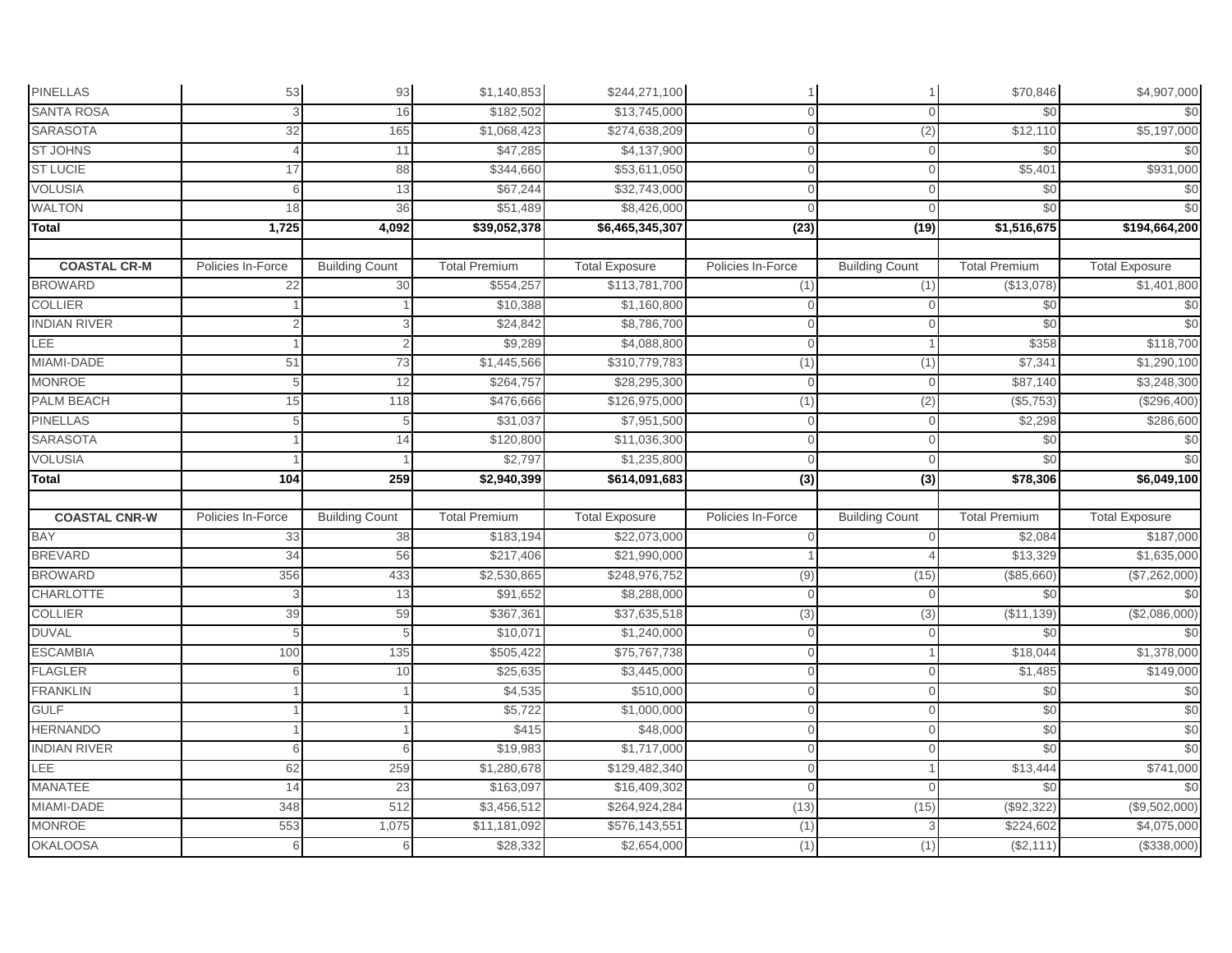| <b>PINELLAS</b>                  | 53                | 93                    | \$1,140,853              | \$244,271,100                |                   |                       | \$70,846               | \$4,907,000                |
|----------------------------------|-------------------|-----------------------|--------------------------|------------------------------|-------------------|-----------------------|------------------------|----------------------------|
| <b>SANTA ROSA</b>                |                   | 16                    | \$182,502                | \$13,745,000                 | $\Omega$          |                       | \$0                    | \$0                        |
| <b>SARASOTA</b>                  | 32                | 165                   | \$1,068,423              | \$274,638,209                | $\Omega$          | (2)                   | \$12,110               | \$5,197,000                |
| <b>ST JOHNS</b>                  |                   | 11                    | \$47,285                 | \$4,137,900                  | $\Omega$          | $\Omega$              | \$0                    | \$0                        |
| <b>ST LUCIE</b>                  | 17                | 88                    | \$344,660                | \$53,611,050                 |                   |                       | \$5,401                | \$931,000                  |
| <b>VOLUSIA</b>                   | 6                 | 13                    | \$67,244                 | \$32,743,000                 | $\cap$            |                       | \$0                    | \$0                        |
| <b>WALTON</b>                    | 18                | 36                    | \$51,489                 | \$8,426,000                  | $\Omega$          |                       | \$0                    | \$0                        |
| Total                            | 1,725             | 4,092                 | \$39,052,378             | \$6,465,345,307              | (23)              | (19)                  | \$1,516,675            | \$194,664,200              |
|                                  |                   |                       |                          |                              |                   |                       |                        |                            |
| <b>COASTAL CR-M</b>              | Policies In-Force | <b>Building Count</b> | <b>Total Premium</b>     | <b>Total Exposure</b>        | Policies In-Force | <b>Building Count</b> | <b>Total Premium</b>   | <b>Total Exposure</b>      |
| <b>BROWARD</b>                   | 22                | 30                    | \$554,257                | \$113,781,700                | (1)               | (1)                   | (\$13,078)             | \$1,401,800                |
| <b>COLLIER</b>                   |                   |                       | \$10,388                 | \$1,160,800                  | $\Omega$          | $\Omega$              | \$0                    | \$0                        |
| <b>INDIAN RIVER</b>              |                   |                       | \$24,842                 | \$8,786,700                  |                   |                       | \$0                    | \$0                        |
| LEE                              |                   | 2                     | \$9,289                  | \$4,088,800                  | $\Omega$          |                       | \$358                  | \$118,700                  |
| MIAMI-DADE                       | 51                | 73                    | \$1,445,566              | \$310,779,783                | (1)               | (1)                   | \$7,341                | \$1,290,100                |
| <b>MONROE</b>                    | 5                 | 12                    | \$264,757                | \$28,295,300                 | $\Omega$          | $\Omega$              | \$87,140               | \$3,248,300                |
| PALM BEACH                       | 15                | 118                   | \$476,666                | \$126,975,000                | (1)               | (2)                   | (\$5,753)              | (\$296,400)                |
| <b>PINELLAS</b>                  | 5                 | 5                     | \$31,037                 | \$7,951,500                  | $\Omega$          |                       | \$2,298                | \$286,600                  |
| <b>SARASOTA</b>                  |                   | 14                    | \$120,800                | \$11,036,300                 |                   |                       | \$0                    | \$0                        |
| <b>VOLUSIA</b>                   |                   |                       | \$2,797                  | \$1,235,800                  | $\cap$            |                       | \$0                    | \$0                        |
|                                  |                   |                       |                          |                              |                   |                       |                        |                            |
| <b>Total</b>                     | 104               | 259                   | \$2,940,399              | \$614,091,683                | $\overline{3}$    | $\overline{(3)}$      | \$78,306               | \$6,049,100                |
|                                  |                   |                       |                          |                              |                   |                       |                        |                            |
| <b>COASTAL CNR-W</b>             | Policies In-Force | <b>Building Count</b> | <b>Total Premium</b>     | <b>Total Exposure</b>        | Policies In-Force | <b>Building Count</b> | <b>Total Premium</b>   | <b>Total Exposure</b>      |
| <b>BAY</b>                       | 33                | 38                    | \$183,194                | \$22,073,000                 |                   |                       | \$2,084                | \$187,000                  |
| <b>BREVARD</b>                   | 34                | 56                    | \$217,406                | \$21,990,000                 |                   |                       | \$13,329               | \$1,635,000                |
| <b>BROWARD</b>                   | 356               | 433                   | \$2,530,865              | \$248,976,752                | (9)               | (15)                  | (\$85,660)             | (\$7,262,000)              |
| <b>CHARLOTTE</b>                 | 3                 | 13                    | \$91,652                 | \$8,288,000                  |                   |                       | \$0                    | \$0                        |
| <b>COLLIER</b>                   | 39                | 59                    | \$367,361                | \$37,635,518                 | (3)               | (3)                   | (\$11, 139)            | (\$2,086,000)              |
| <b>DUVAL</b>                     |                   |                       | \$10,071                 | \$1,240,000                  | $\Omega$          |                       | \$0                    | \$0                        |
| <b>ESCAMBIA</b>                  | 100               | 135                   | \$505,422                | \$75,767,738                 | $\Omega$          |                       | \$18,044               | \$1,378,000                |
| <b>FLAGLER</b>                   | 6                 | 10                    | \$25,635                 | \$3,445,000                  | $\Omega$          |                       | \$1,485                | \$149,000                  |
| <b>FRANKLIN</b>                  |                   |                       | \$4,535                  | \$510,000                    | $\Omega$          | $\Omega$              | \$0                    | \$0                        |
| <b>GULF</b>                      |                   |                       | \$5,722                  | \$1,000,000                  | $\Omega$          | $\Omega$              | \$0                    | \$0                        |
| <b>HERNANDO</b>                  |                   |                       | \$415                    | \$48,000                     |                   | $\Omega$              | \$0                    | \$0                        |
| <b>INDIAN RIVER</b>              | 6                 | 6                     | \$19,983                 | \$1,717,000                  | $\cap$            |                       | \$0                    |                            |
| LEE                              | 62                | 259                   | \$1,280,678              | \$129,482,340                | $\Omega$          |                       | \$13,444               | \$0<br>\$741,000           |
| <b>MANATEE</b>                   | 14                | 23                    | \$163,097                | \$16,409,302                 | $\Omega$          | $\Omega$              | \$0                    | \$0                        |
| MIAMI-DADE                       | 348               | 512                   | \$3,456,512              | \$264,924,284                | (13)              | (15)                  | (\$92,322)             | (\$9,502,000)              |
| <b>MONROE</b><br><b>OKALOOSA</b> | 553               | 1,075                 | \$11,181,092<br>\$28,332 | \$576,143,551<br>\$2,654,000 | (1)<br>(1)        |                       | \$224,602<br>(\$2,111) | \$4,075,000<br>(\$338,000) |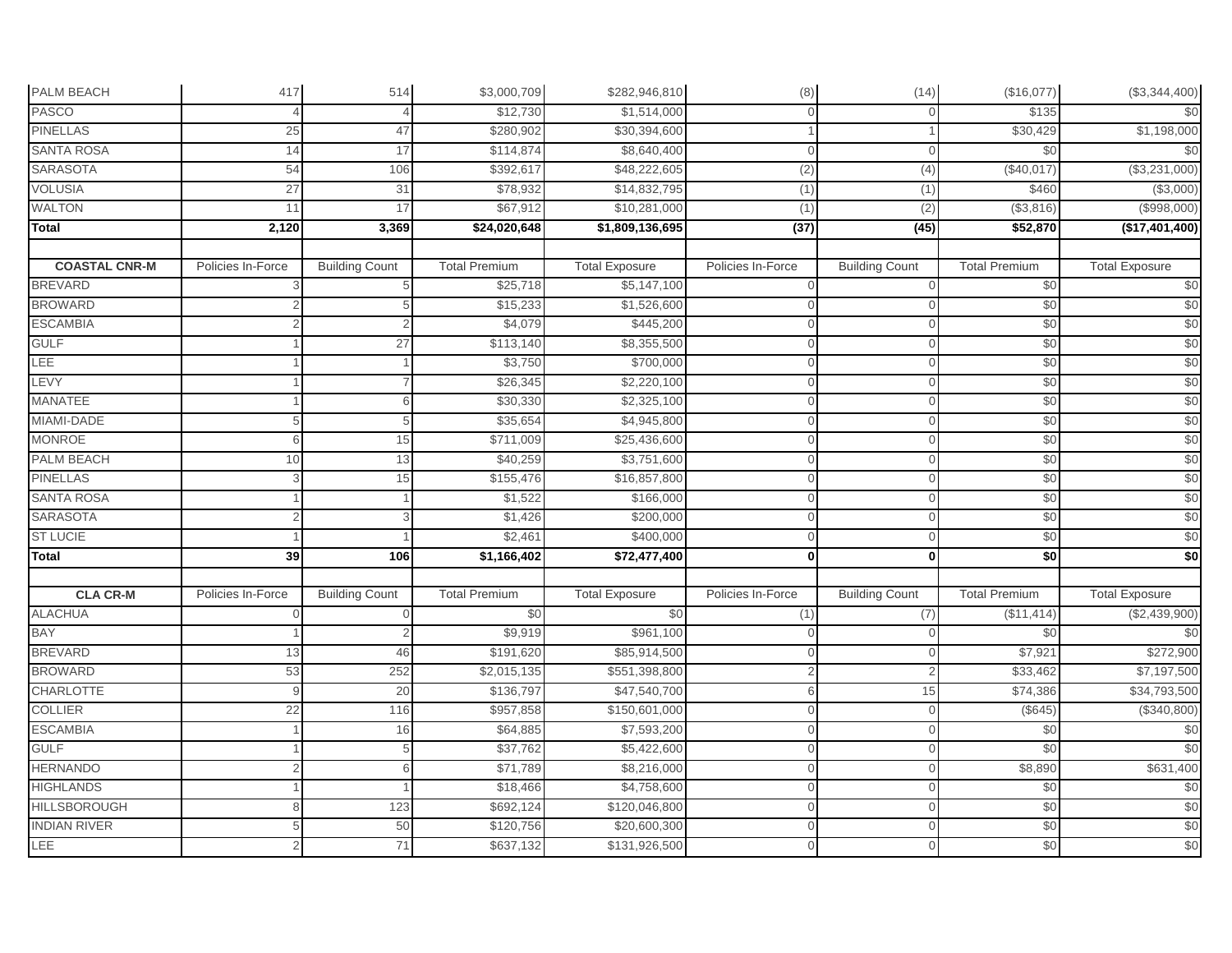| PALM BEACH           | 417               | 514                   | \$3,000,709          | \$282,946,810         | (8)               | (14)                  | (\$16,077)           | (\$3,344,400)         |
|----------------------|-------------------|-----------------------|----------------------|-----------------------|-------------------|-----------------------|----------------------|-----------------------|
| <b>PASCO</b>         |                   |                       | \$12.730             | \$1,514,000           |                   |                       | \$135                | \$0                   |
| <b>PINELLAS</b>      | 25                | 47                    | \$280,902            | \$30,394,600          |                   |                       | \$30,429             | \$1,198,000           |
| <b>SANTA ROSA</b>    | 14                | 17                    | \$114,874            | \$8,640,400           | $\cap$            | $\mathbf{0}$          | \$0                  | \$0                   |
| <b>SARASOTA</b>      | 54                | 106                   | \$392,617            | \$48,222,605          | (2)               | (4)                   | (\$40,017)           | (\$3,231,000)         |
| <b>VOLUSIA</b>       | 27                | 31                    | \$78,932             | \$14,832,795          | (1)               | (1)                   | \$460                | (\$3,000)             |
| <b>WALTON</b>        | 11                | 17                    | \$67,912             | \$10,281,000          | (1)               | (2)                   | (\$3,816)            | (\$998,000)           |
| Total                | 2,120             | 3,369                 | \$24,020,648         | \$1,809,136,695       | (37)              | (45)                  | \$52,870             | (\$17,401,400)        |
|                      |                   |                       |                      |                       |                   |                       |                      |                       |
| <b>COASTAL CNR-M</b> | Policies In-Force | <b>Building Count</b> | <b>Total Premium</b> | <b>Total Exposure</b> | Policies In-Force | <b>Building Count</b> | <b>Total Premium</b> | <b>Total Exposure</b> |
| <b>BREVARD</b>       |                   |                       | \$25,718             | \$5,147,100           |                   | $\Omega$              | \$0                  | \$0                   |
| <b>BROWARD</b>       |                   | 5                     | \$15,233             | \$1,526,600           |                   | $\mathbf{0}$          | \$0                  | \$0                   |
| <b>ESCAMBIA</b>      |                   |                       | \$4,079              | \$445,200             |                   |                       | \$0                  | \$0                   |
| <b>GULF</b>          |                   | 27                    | \$113,140            | \$8,355,500           |                   | $\Omega$              | \$0                  | \$0                   |
| LEE                  |                   |                       | \$3,750              | \$700,000             | $\Omega$          | $\mathbf{0}$          | \$0                  | \$0                   |
| LEVY                 |                   |                       | \$26,345             | \$2,220,100           |                   | $\mathbf 0$           | \$0                  | \$0                   |
| <b>MANATEE</b>       |                   |                       | \$30,330             | \$2,325,100           |                   | $\Omega$              | \$0                  | \$0                   |
| MIAMI-DADE           | 5                 |                       | \$35,654             | \$4,945,800           |                   | $\Omega$              | \$0                  | \$0                   |
| <b>MONROE</b>        | 6                 | 15                    | \$711,009            | \$25,436,600          |                   | $\Omega$              | \$0                  | \$0                   |
| PALM BEACH           | 10                | 13                    | \$40,259             | \$3,751,600           |                   |                       | \$0                  | \$0                   |
| <b>PINELLAS</b>      |                   | 15                    | \$155,476            | \$16,857,800          |                   | $\Omega$              | \$0                  | \$0                   |
| <b>SANTA ROSA</b>    |                   |                       | \$1,522              | \$166,000             |                   | $\mathbf{0}$          | \$0                  | \$0                   |
| <b>SARASOTA</b>      |                   |                       | \$1,426              | \$200,000             | ∩                 | $\mathbf{0}$          | \$0                  | \$0                   |
| <b>ST LUCIE</b>      |                   |                       | \$2,461              | \$400,000             |                   | $\Omega$              | \$0                  | \$0                   |
| Total                | 39                | 106                   | \$1,166,402          | \$72,477,400          | $\Omega$          | $\mathbf 0$           | \$0                  | \$0                   |
| <b>CLA CR-M</b>      | Policies In-Force | <b>Building Count</b> | <b>Total Premium</b> | <b>Total Exposure</b> | Policies In-Force | <b>Building Count</b> | <b>Total Premium</b> | <b>Total Exposure</b> |
| <b>ALACHUA</b>       |                   |                       | \$0                  | \$0                   | (1)               | (7)                   | (\$11,414)           | (\$2,439,900)         |
| BAY                  |                   |                       | \$9,919              | \$961,100             |                   | $\Omega$              | \$0                  | $\frac{6}{3}$         |
| <b>BREVARD</b>       | 13                | 46                    | \$191,620            | \$85,914,500          |                   | $\Omega$              | \$7,921              | \$272,900             |
| <b>BROWARD</b>       | 53                | 252                   | \$2,015,135          | \$551,398,800         |                   | $\overline{2}$        | \$33,462             | \$7,197,500           |
| <b>CHARLOTTE</b>     | 9                 | 20                    | \$136,797            | \$47,540,700          |                   | 15                    | \$74,386             | \$34,793,500          |
| <b>COLLIER</b>       | 22                | 116                   | \$957,858            | \$150,601,000         |                   | $\Omega$              | (\$645)              | (\$340,800)           |
| <b>ESCAMBIA</b>      |                   | 16                    | \$64,885             | \$7,593,200           |                   | $\Omega$              | \$0                  | \$0                   |
| <b>GULF</b>          |                   | 5                     | \$37,762             | \$5,422,600           |                   | $\Omega$              | \$0                  | \$0                   |
| <b>HERNANDO</b>      |                   |                       | \$71,789             | \$8,216,000           |                   | $\Omega$              | \$8,890              | \$631,400             |
| <b>HIGHLANDS</b>     |                   |                       | \$18,466             | \$4,758,600           |                   | $\Omega$              | \$0                  | \$0                   |
| <b>HILLSBOROUGH</b>  |                   | 123                   | \$692,124            | \$120,046,800         | $\cap$            | $\mathbf 0$           | \$0                  | \$0                   |
| <b>INDIAN RIVER</b>  |                   | 50                    | \$120,756            | \$20,600,300          |                   | $\Omega$              | \$0                  | \$0                   |
| LEE                  |                   |                       |                      |                       |                   |                       |                      |                       |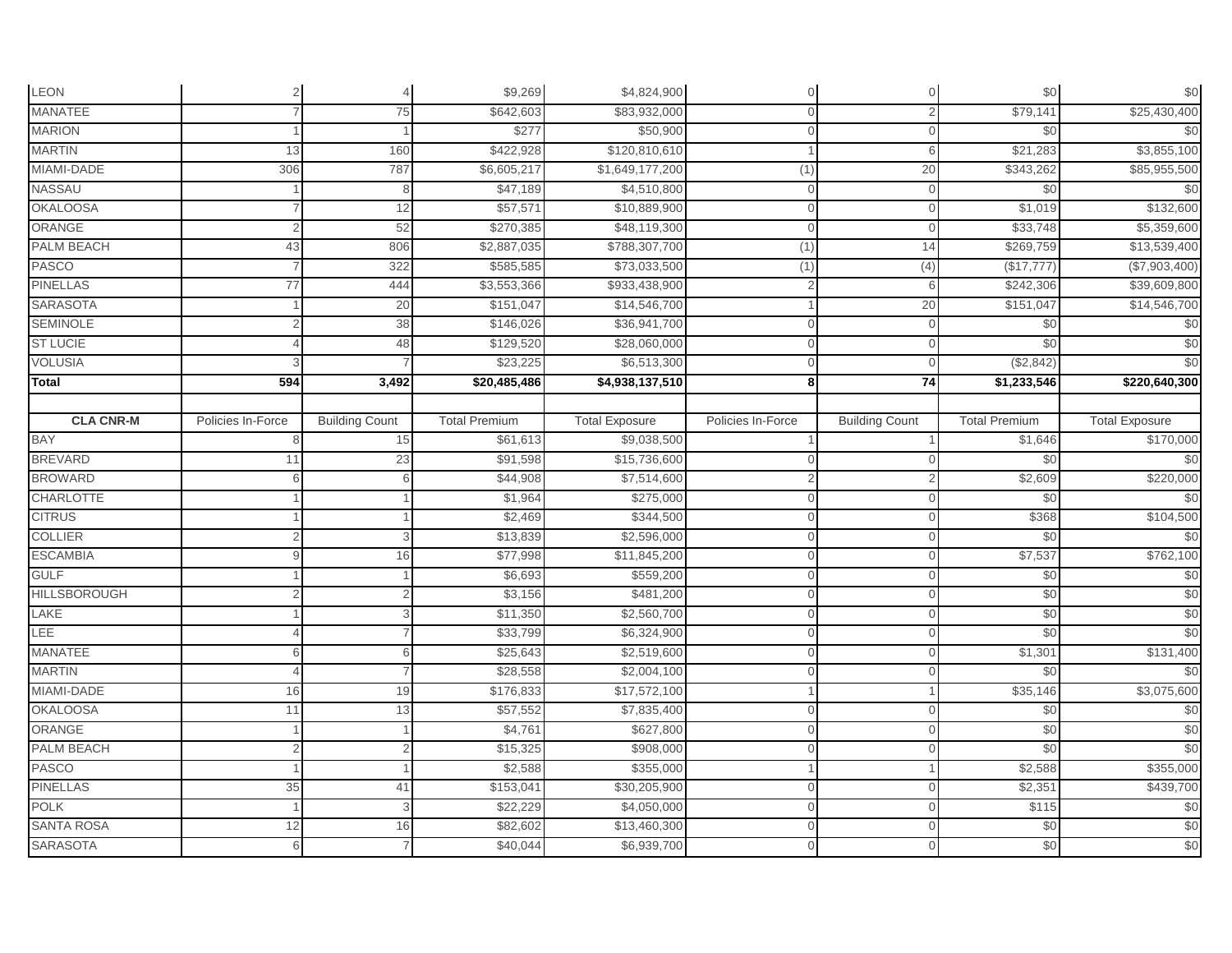| LEON                |                   |                       | \$9,269              | \$4,824,900                 | $\Omega$          | $\mathbf{0}$          | \$0                    | \$0                   |
|---------------------|-------------------|-----------------------|----------------------|-----------------------------|-------------------|-----------------------|------------------------|-----------------------|
| <b>MANATEE</b>      |                   | 75                    | \$642,603            | \$83,932,000                | $\Omega$          |                       | \$79,141               | \$25,430,400          |
| <b>MARION</b>       |                   |                       | \$277                | \$50,900                    | $\Omega$          | $\Omega$              | \$0                    | \$0                   |
| <b>MARTIN</b>       | 13                | 160                   | \$422,928            | \$120,810,610               |                   | 6                     | \$21,283               | \$3,855,100           |
| MIAMI-DADE          | 306               | 787                   | \$6,605,217          | \$1,649,177,200             | (1)               | 20                    | \$343,262              | \$85,955,500          |
| <b>NASSAU</b>       |                   | 8                     | \$47,189             | \$4,510,800                 | $\Omega$          | $\Omega$              | \$0                    | \$0                   |
| <b>OKALOOSA</b>     |                   | 12                    | \$57,571             | \$10,889,900                | $\Omega$          |                       | \$1,019                | \$132,600             |
| ORANGE              |                   | 52                    | \$270,385            | \$48,119,300                | $\overline{0}$    | $\Omega$              | \$33,748               | \$5,359,600           |
| <b>PALM BEACH</b>   | 43                | 806                   | \$2,887,035          | \$788,307,700               | (1)               | 14                    | \$269,759              | \$13,539,400          |
| PASCO               |                   | 322                   | \$585,585            | \$73,033,500                | (1)               | (4)                   | (\$17,777)             | (\$7,903,400)         |
| <b>PINELLAS</b>     | 77                | 444                   | \$3,553,366          | \$933,438,900               | $\mathcal{P}$     | $\kappa$              | \$242,306              | \$39,609,800          |
| <b>SARASOTA</b>     |                   | 20                    | \$151,047            | \$14,546,700                |                   | 20                    | \$151,047              | \$14,546,700          |
| <b>SEMINOLE</b>     |                   | 38                    | \$146,026            | \$36,941,700                | $\Omega$          |                       | \$0                    | \$0                   |
| <b>ST LUCIE</b>     |                   | 48                    | \$129,520            | \$28,060,000                | $\Omega$          |                       | \$0                    | \$0                   |
| <b>VOLUSIA</b>      |                   |                       | \$23,225             | \$6,513,300                 | $\Omega$          | $\Omega$              | (\$2,842)              | \$0                   |
| <b>Total</b>        | 594               | 3,492                 | \$20,485,486         | $\overline{$4,938,137,510}$ | 8 <sup>1</sup>    | 74                    | $\overline{1,233,546}$ | \$220,640,300         |
|                     |                   |                       |                      |                             |                   |                       |                        |                       |
| <b>CLA CNR-M</b>    | Policies In-Force | <b>Building Count</b> | <b>Total Premium</b> | <b>Total Exposure</b>       | Policies In-Force | <b>Building Count</b> | <b>Total Premium</b>   | <b>Total Exposure</b> |
| <b>BAY</b>          | 8                 | 15                    | \$61,613             | \$9,038,500                 |                   |                       | \$1,646                | \$170,000             |
| <b>BREVARD</b>      | 11                | 23                    | \$91,598             | \$15,736,600                |                   |                       | \$0                    | \$0                   |
| <b>BROWARD</b>      | 6                 | 6                     | \$44,908             | \$7,514,600                 |                   |                       | \$2,609                | \$220,000             |
| <b>CHARLOTTE</b>    |                   |                       | \$1,964              | \$275,000                   | $\Omega$          |                       | \$0                    | $\frac{6}{3}$         |
| <b>CITRUS</b>       |                   |                       | \$2,469              | \$344,500                   | $\overline{0}$    | $\Omega$              | \$368                  | \$104,500             |
| <b>COLLIER</b>      |                   |                       | \$13,839             | \$2,596,000                 | $\Omega$          | $\Omega$              | \$0                    | \$0                   |
| <b>ESCAMBIA</b>     |                   | 16                    | \$77,998             | \$11,845,200                | $\Omega$          |                       | \$7,537                | \$762,100             |
| <b>GULF</b>         |                   |                       | \$6,693              | \$559,200                   | $\Omega$          |                       | \$0                    | $\frac{6}{3}$         |
| <b>HILLSBOROUGH</b> |                   |                       | \$3,156              | \$481,200                   | $\Omega$          | $\Omega$              | \$0                    | \$0                   |
| LAKE                |                   | 3                     | \$11,350             | \$2,560,700                 | $\Omega$          |                       | \$0                    | \$0                   |
| LEE                 |                   |                       | \$33,799             | \$6,324,900                 | $\Omega$          | $\Omega$              | \$0                    | \$0                   |
| <b>MANATEE</b>      | 6                 | 6                     | \$25,643             | \$2,519,600                 | $\Omega$          | $\mathbf{0}$          | \$1,301                | \$131,400             |
| <b>MARTIN</b>       |                   |                       | \$28,558             | \$2,004,100                 | $\Omega$          | $\Omega$              | \$0                    | $\frac{6}{3}$         |
| MIAMI-DADE          | 16                | 19                    | \$176,833            | \$17,572,100                |                   |                       | \$35,146               | \$3,075,600           |
| <b>OKALOOSA</b>     | 11                | 13                    | \$57,552             | \$7,835,400                 | $\Omega$          |                       | \$0                    | \$0                   |
| ORANGE              |                   |                       | \$4,761              | \$627,800                   | $\Omega$          | $\Omega$              | \$0                    | \$0                   |
| <b>PALM BEACH</b>   | $\overline{2}$    | $\overline{2}$        | \$15,325             | \$908,000                   | $\Omega$          | $\Omega$              | \$0                    | \$0                   |
| <b>PASCO</b>        |                   |                       | \$2,588              | \$355,000                   |                   |                       | \$2,588                | \$355,000             |
| <b>PINELLAS</b>     | 35                | 41                    | \$153,041            | \$30,205,900                | $\Omega$          |                       | \$2,351                | \$439,700             |
| <b>POLK</b>         |                   | 3                     | \$22,229             | \$4,050,000                 | $\overline{0}$    | $\Omega$              | \$115                  | \$0                   |
| <b>SANTA ROSA</b>   | 12                | 16                    | \$82,602             | \$13,460,300                | $\Omega$          | 0                     | \$0                    | \$0                   |
| <b>SARASOTA</b>     | 6                 |                       | \$40,044             | \$6,939,700                 | $\Omega$          | $\Omega$              | \$0                    | \$0                   |